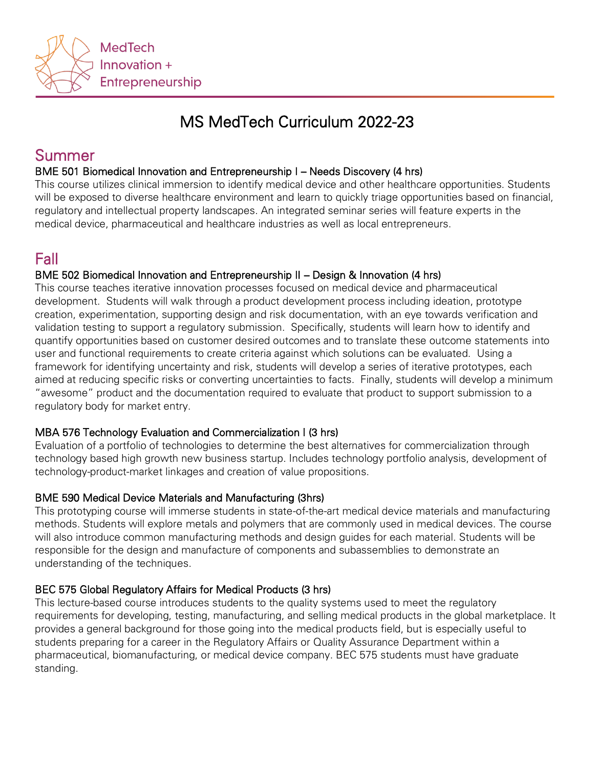

# MS MedTech Curriculum 2022-23

# Summer

# BME 501 Biomedical Innovation and Entrepreneurship I – Needs Discovery (4 hrs)

This course utilizes clinical immersion to identify medical device and other healthcare opportunities. Students will be exposed to diverse healthcare environment and learn to quickly triage opportunities based on financial, regulatory and intellectual property landscapes. An integrated seminar series will feature experts in the medical device, pharmaceutical and healthcare industries as well as local entrepreneurs.

# Fall

### BME 502 Biomedical Innovation and Entrepreneurship II – Design & Innovation (4 hrs)

This course teaches iterative innovation processes focused on medical device and pharmaceutical development. Students will walk through a product development process including ideation, prototype creation, experimentation, supporting design and risk documentation, with an eye towards verification and validation testing to support a regulatory submission. Specifically, students will learn how to identify and quantify opportunities based on customer desired outcomes and to translate these outcome statements into user and functional requirements to create criteria against which solutions can be evaluated. Using a framework for identifying uncertainty and risk, students will develop a series of iterative prototypes, each aimed at reducing specific risks or converting uncertainties to facts. Finally, students will develop a minimum "awesome" product and the documentation required to evaluate that product to support submission to a regulatory body for market entry.

#### MBA 576 Technology Evaluation and Commercialization I (3 hrs)

Evaluation of a portfolio of technologies to determine the best alternatives for commercialization through technology based high growth new business startup. Includes technology portfolio analysis, development of technology-product-market linkages and creation of value propositions.

# BME 590 Medical Device Materials and Manufacturing (3hrs)

This prototyping course will immerse students in state-of-the-art medical device materials and manufacturing methods. Students will explore metals and polymers that are commonly used in medical devices. The course will also introduce common manufacturing methods and design guides for each material. Students will be responsible for the design and manufacture of components and subassemblies to demonstrate an understanding of the techniques.

# BEC 575 Global Regulatory Affairs for Medical Products (3 hrs)

This lecture-based course introduces students to the quality systems used to meet the regulatory requirements for developing, testing, manufacturing, and selling medical products in the global marketplace. It provides a general background for those going into the medical products field, but is especially useful to students preparing for a career in the Regulatory Affairs or Quality Assurance Department within a pharmaceutical, biomanufacturing, or medical device company. BEC 575 students must have graduate standing.